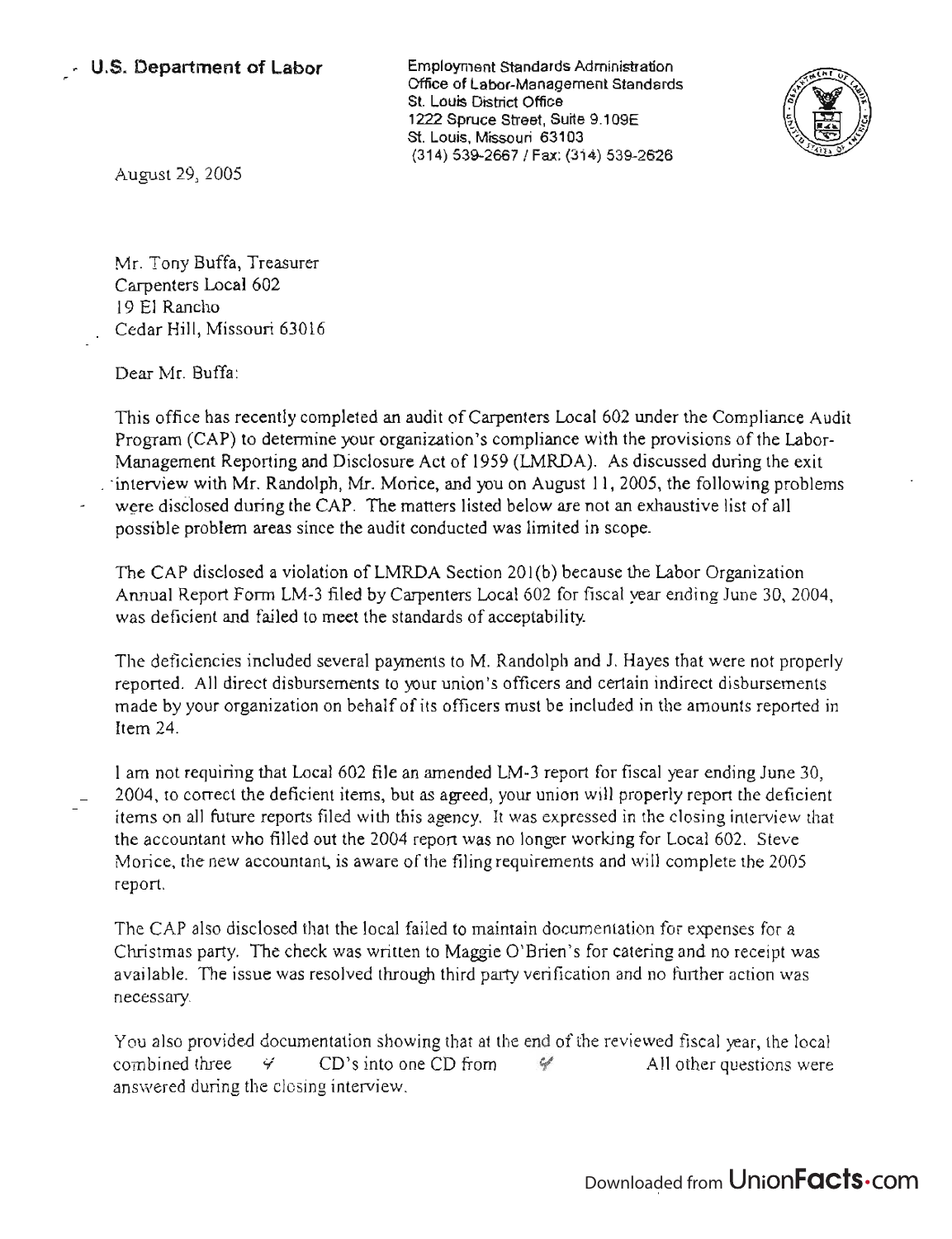Employment Standards Administration Officer of the labor of the labor of the labor of the labor of the labor of the labor of the labor of the labor of the labor of the labor of the labor of the labor of the labor of the labor of the labor of the labor of the Office of Labor-Management Standards<br>St. Louis District Office 122 Spruce Street, Suite 9.100E  $\mathsf{ZZ}$  spruce Street, Suite 9. St. Louis, Missouri 63103<br>(314) 539-2667 / Fax: (314) 539-2626



August 29, 2005

Mr. Tony Buffa, Treasurer Carpenters Local 602 19 El Rancho Cedar Hill, Missouri 63016

Dear Mr. Buffa:

This office has recently completed an audit of Carpenters Local 602 under the Compliance Audit Program (CAP) to determine your organization's compliance with the provisions of the Labor-Management Reporting and Disclosure Act of 1959 (LMRDA). As discussed during the exit \_ -interview with Mr. Randolph, Mr. Morice, and you on August 11, 2005, the following problems were disClosed during the CAP. The matters listed below are not an exhaustive list of all possible problem areas since the audit conducted was limited in scope.

The CAP disclosed a violation of LMRDA Section 201(b) because the Labor Organization Annual Report Form LM-3 filed by Carpenters Local 602 for fiscal year ending June 30, 2004, was deficient and failed to meet the standards of acceptability

The deficiencies included several payments to M. Randolph and 1. Hayes that were not properly reported. All direct disbursements to your union's officers and certain indirect disbursements made by your organization on behalf of its officers must be included in the amounts reported in Item 24.

I am not requiring that Local 602 file an amended LM-3 report for fiscal year ending June 30, 2004, to correct the deficient items, but as agreed, your union will properly report the deficient items on all future reports filed with this agency. It was expressed in the closing interview that the accountant who filled out the 2004 report was no longer working for Local 602. Steve Morice, the new accountant, is aware of the filing requirements and will complete the 2005 report.

The CAP also disclosed that the local failed to maintain documentation for expenses for a Christmas party. The check was written to Maggie O'Brien's for catering and no receipt was available. The issue was resolved through third party verification and no further action was necessary.

You also provided documentation showing that at the end of the reviewed fiscal year, the local ou also provided documentation showing that at the end of the reviewed fiscal year, the local<br>https://www.cD's into one CD from into the lattle all other questions were combined three  $\forall$  CD's into one CD from<br>answered during the closing interview.